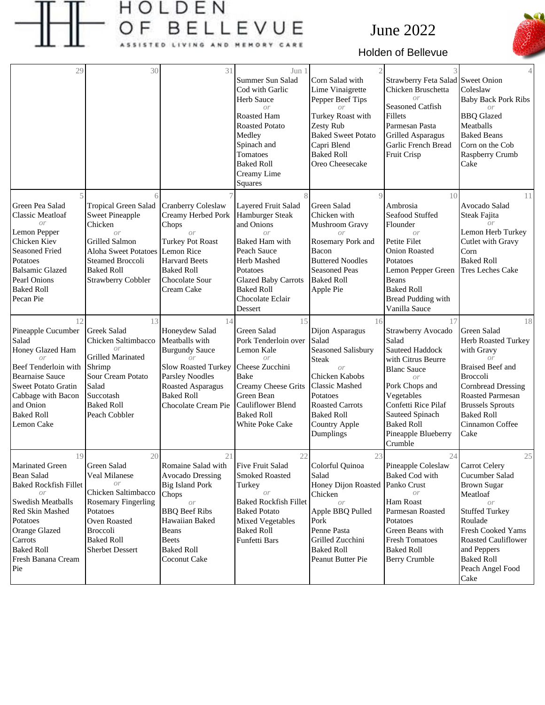

## HOLDEN BELLEVUE F **A** s ING AND MEMORY CARE

## June 2022



## Holden of Bellevue

| 29                                                                                                                                                                                                            | 30                                                                                                                                                                                                                       | 31                                                                                                                                                                                                    | Jun 1<br>Summer Sun Salad<br>Cod with Garlic<br>Herb Sauce<br>$\overline{or}$<br>Roasted Ham<br><b>Roasted Potato</b><br>Medley<br>Spinach and<br>Tomatoes<br><b>Baked Roll</b><br>Creamy Lime<br>Squares        | Corn Salad with<br>Lime Vinaigrette<br>Pepper Beef Tips<br>Turkey Roast with<br>Zesty Rub<br><b>Baked Sweet Potato</b><br>Capri Blend<br><b>Baked Roll</b><br>Oreo Cheesecake                                                 | Strawberry Feta Salad Sweet Onion<br>Chicken Bruschetta<br>$\Omega$ <sup>r</sup><br>Seasoned Catfish<br>Fillets<br>Parmesan Pasta<br><b>Grilled Asparagus</b><br>Garlic French Bread<br>Fruit Crisp                                     | 4<br>Coleslaw<br><b>Baby Back Pork Ribs</b><br>or<br><b>BBQ</b> Glazed<br>Meatballs<br><b>Baked Beans</b><br>Corn on the Cob<br>Raspberry Crumb<br>Cake                                                                                              |
|---------------------------------------------------------------------------------------------------------------------------------------------------------------------------------------------------------------|--------------------------------------------------------------------------------------------------------------------------------------------------------------------------------------------------------------------------|-------------------------------------------------------------------------------------------------------------------------------------------------------------------------------------------------------|------------------------------------------------------------------------------------------------------------------------------------------------------------------------------------------------------------------|-------------------------------------------------------------------------------------------------------------------------------------------------------------------------------------------------------------------------------|-----------------------------------------------------------------------------------------------------------------------------------------------------------------------------------------------------------------------------------------|------------------------------------------------------------------------------------------------------------------------------------------------------------------------------------------------------------------------------------------------------|
| Green Pea Salad<br><b>Classic Meatloaf</b><br>O <sub>r</sub><br>Lemon Pepper<br>Chicken Kiev<br><b>Seasoned Fried</b><br>Potatoes<br><b>Balsamic Glazed</b><br>Pearl Onions<br><b>Baked Roll</b><br>Pecan Pie | <b>Tropical Green Salad</b><br><b>Sweet Pineapple</b><br>Chicken<br>$\overline{or}$<br><b>Grilled Salmon</b><br><b>Aloha Sweet Potatoes</b><br><b>Steamed Broccoli</b><br><b>Baked Roll</b><br><b>Strawberry Cobbler</b> | Cranberry Coleslaw<br>Creamy Herbed Pork<br>Chops<br>or<br><b>Turkey Pot Roast</b><br>Lemon Rice<br><b>Harvard Beets</b><br><b>Baked Roll</b><br>Chocolate Sour<br>Cream Cake                         | Layered Fruit Salad<br>Hamburger Steak<br>and Onions<br>$\Omega r$<br>Baked Ham with<br>Peach Sauce<br>Herb Mashed<br>Potatoes<br><b>Glazed Baby Carrots</b><br><b>Baked Roll</b><br>Chocolate Eclair<br>Dessert | $\Omega$<br><b>Green Salad</b><br>Chicken with<br>Mushroom Gravy<br>Rosemary Pork and<br>Bacon<br><b>Buttered Noodles</b><br><b>Seasoned Peas</b><br><b>Baked Roll</b><br>Apple Pie                                           | 10<br>Ambrosia<br>Seafood Stuffed<br>Flounder<br>or<br>Petite Filet<br><b>Onion Roasted</b><br>Potatoes<br>Lemon Pepper Green<br>Beans<br><b>Baked Roll</b><br><b>Bread Pudding with</b><br>Vanilla Sauce                               | 11<br>Avocado Salad<br>Steak Fajita<br>Lemon Herb Turkey<br>Cutlet with Gravy<br>Corn<br><b>Baked Roll</b><br><b>Tres Leches Cake</b>                                                                                                                |
| 12<br>Pineapple Cucumber<br>Salad<br>Honey Glazed Ham<br>Beef Tenderloin with<br><b>Bearnaise Sauce</b><br><b>Sweet Potato Gratin</b><br>Cabbage with Bacon<br>and Onion<br><b>Baked Roll</b><br>Lemon Cake   | 13<br>Greek Salad<br>Chicken Saltimbacco<br>$\Omega r$<br>Grilled Marinated<br>Shrimp<br>Sour Cream Potato<br>Salad<br>Succotash<br><b>Baked Roll</b><br>Peach Cobbler                                                   | 14<br>Honeydew Salad<br>Meatballs with<br><b>Burgundy Sauce</b><br>or<br><b>Slow Roasted Turkey</b><br><b>Parsley Noodles</b><br><b>Roasted Asparagus</b><br><b>Baked Roll</b><br>Chocolate Cream Pie | 15<br><b>Green Salad</b><br>Pork Tenderloin over<br>Lemon Kale<br>or<br>Cheese Zucchini<br>Bake<br>Creamy Cheese Grits<br>Green Bean<br>Cauliflower Blend<br><b>Baked Roll</b><br>White Poke Cake                | 16<br>Dijon Asparagus<br>Salad<br>Seasoned Salisbury<br><b>Steak</b><br>$\Omega r$<br>Chicken Kabobs<br><b>Classic Mashed</b><br>Potatoes<br><b>Roasted Carrots</b><br><b>Baked Roll</b><br><b>Country Apple</b><br>Dumplings | 17<br>Strawberry Avocado<br>Salad<br>Sauteed Haddock<br>with Citrus Beurre<br><b>Blanc Sauce</b><br>or<br>Pork Chops and<br>Vegetables<br>Confetti Rice Pilaf<br>Sauteed Spinach<br><b>Baked Roll</b><br>Pineapple Blueberry<br>Crumble | 18<br><b>Green Salad</b><br>Herb Roasted Turkey<br>with Gravy<br>or<br><b>Braised Beef and</b><br><b>Broccoli</b><br><b>Cornbread Dressing</b><br><b>Roasted Parmesan</b><br><b>Brussels Sprouts</b><br><b>Baked Roll</b><br>Cinnamon Coffee<br>Cake |
| 19<br>Marinated Green<br>Bean Salad<br><b>Baked Rockfish Fillet</b><br>or<br>Swedish Meatballs<br>Red Skin Mashed<br>Potatoes<br>Orange Glazed<br>Carrots<br><b>Baked Roll</b><br>Fresh Banana Cream<br>Pie   | 20<br>Green Salad<br>Veal Milanese<br>or<br>Chicken Saltimbacco<br><b>Rosemary Fingerling</b><br>Potatoes<br>Oven Roasted<br><b>Broccoli</b><br><b>Baked Roll</b><br><b>Sherbet Dessert</b>                              | 21<br>Romaine Salad with<br><b>Avocado Dressing</b><br><b>Big Island Pork</b><br>Chops<br>or<br><b>BBQ</b> Beef Ribs<br>Hawaiian Baked<br>Beans<br><b>Beets</b><br><b>Baked Roll</b><br>Coconut Cake  | 22<br><b>Five Fruit Salad</b><br><b>Smoked Roasted</b><br>Turkey<br>0r<br><b>Baked Rockfish Fillet</b><br><b>Baked Potato</b><br>Mixed Vegetables<br><b>Baked Roll</b><br>Funfetti Bars                          | 23<br>Colorful Quinoa<br>Salad<br>Honey Dijon Roasted<br>Chicken<br>or<br>Apple BBQ Pulled<br>Pork<br>Penne Pasta<br>Grilled Zucchini<br><b>Baked Roll</b><br>Peanut Butter Pie                                               | 24<br>Pineapple Coleslaw<br>Baked Cod with<br>Panko Crust<br><b>Ham Roast</b><br>Parmesan Roasted<br>Potatoes<br>Green Beans with<br><b>Fresh Tomatoes</b><br><b>Baked Roll</b><br><b>Berry Crumble</b>                                 | 25<br>Carrot Celery<br>Cucumber Salad<br><b>Brown Sugar</b><br>Meatloaf<br>or<br><b>Stuffed Turkey</b><br>Roulade<br>Fresh Cooked Yams<br>Roasted Cauliflower<br>and Peppers<br><b>Baked Roll</b><br>Peach Angel Food<br>Cake                        |